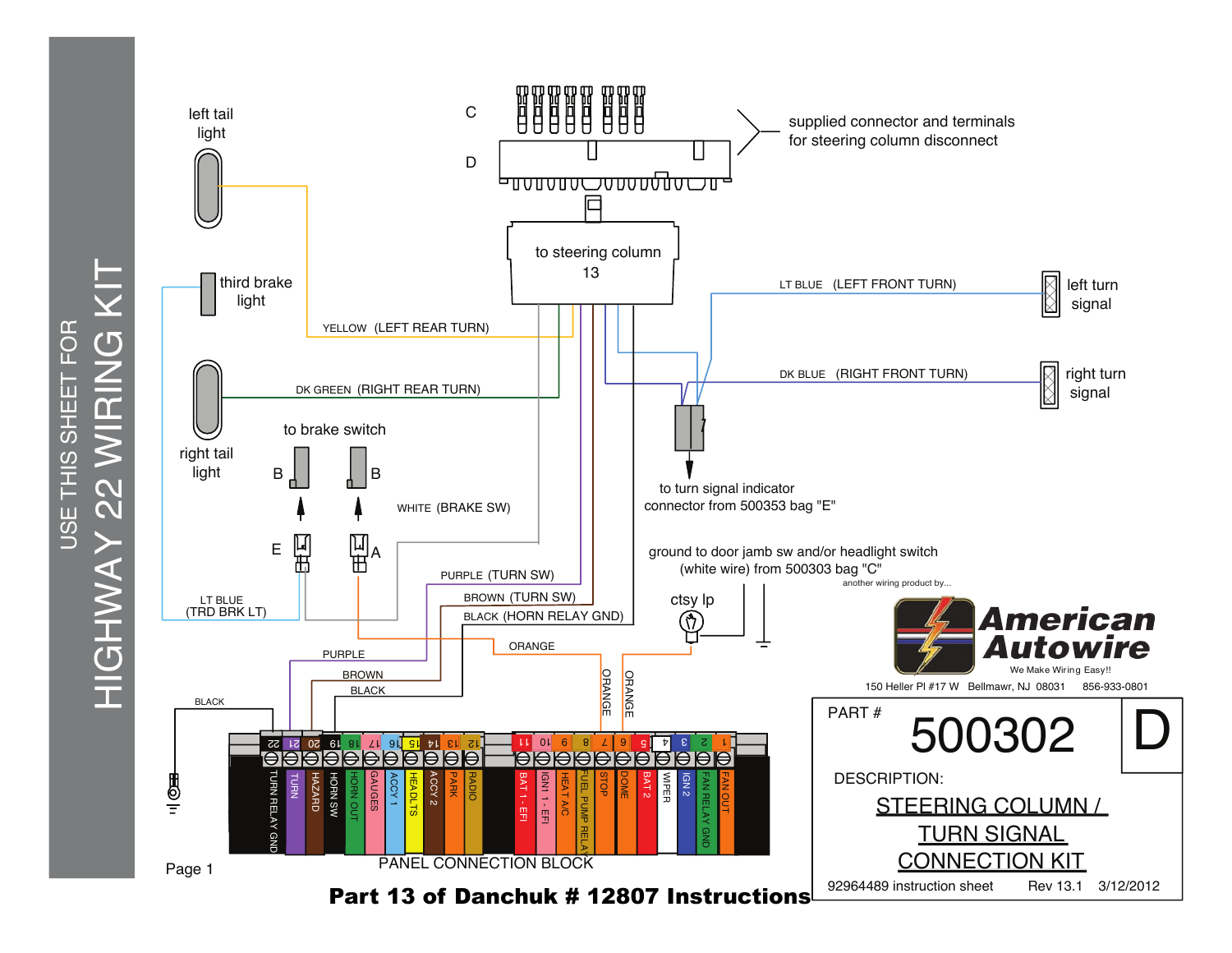

HIGHWAY 22 WIRING KIT HIGHWAY 22 WIRING KIT USE THIS SHEET FOR USE THIS SHEET FOR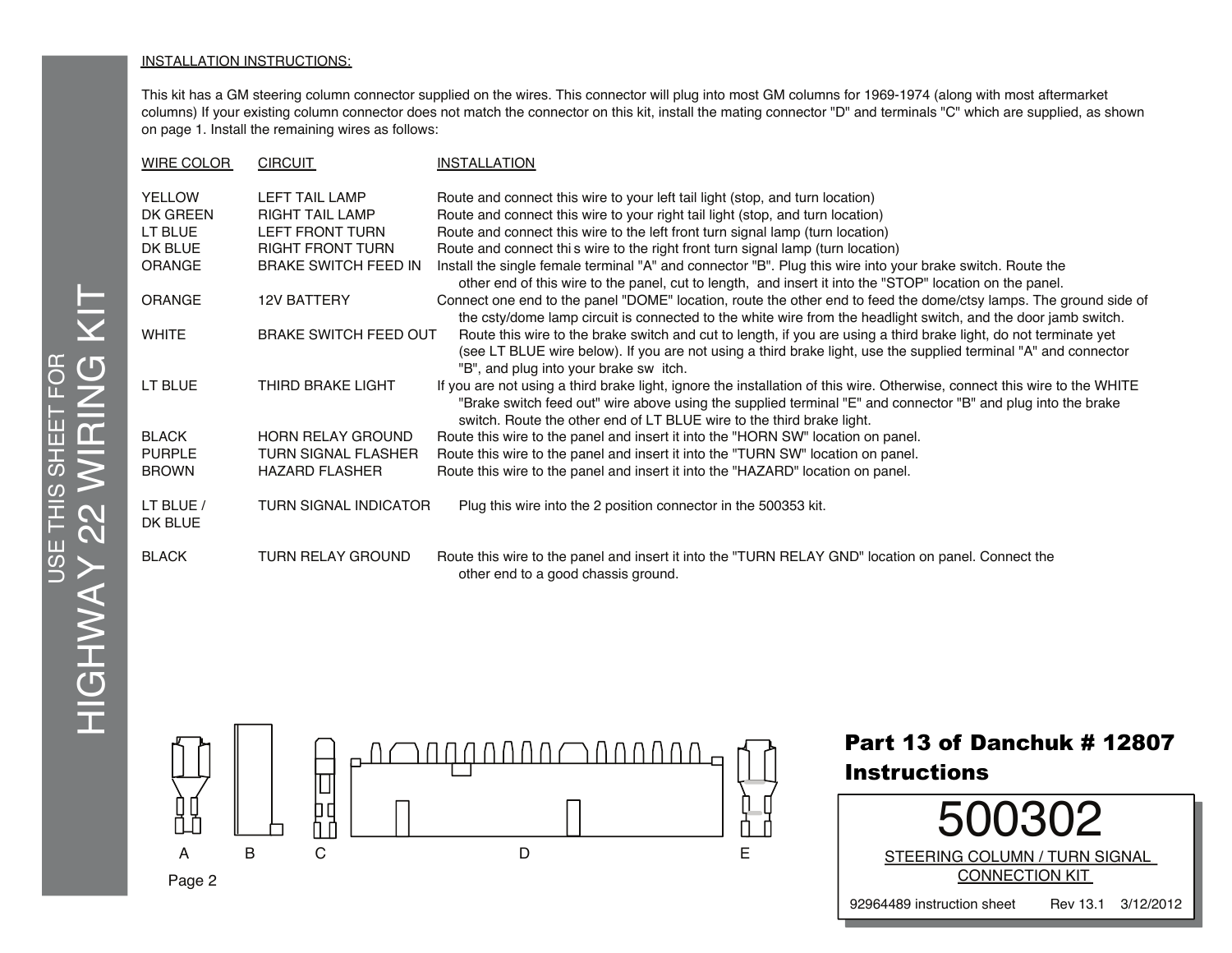## INSTALLATION INSTRUCTIONS:

This kit has a GM steering column connector supplied on the wires. This connector will plug into most GM columns for 1969-1974 (along with most aftermarket columns) If your existing column connector does not match the connector on this kit, install the mating connector "D" and terminals "C" which are supplied, as shown on page 1. Install the remaining wires as follows:

| <b>WIRE COLOR</b>    | <b>CIRCUIT</b>               | <b>INSTALLATION</b>                                                                                                                                                                                                                                                                                                |
|----------------------|------------------------------|--------------------------------------------------------------------------------------------------------------------------------------------------------------------------------------------------------------------------------------------------------------------------------------------------------------------|
| <b>YELLOW</b>        | <b>LEFT TAIL LAMP</b>        | Route and connect this wire to your left tail light (stop, and turn location)                                                                                                                                                                                                                                      |
| DK GREEN             | <b>RIGHT TAIL LAMP</b>       | Route and connect this wire to your right tail light (stop, and turn location)                                                                                                                                                                                                                                     |
| LT BLUE              | LEFT FRONT TURN              | Route and connect this wire to the left front turn signal lamp (turn location)                                                                                                                                                                                                                                     |
| DK BLUE              | <b>RIGHT FRONT TURN</b>      | Route and connect this wire to the right front turn signal lamp (turn location)                                                                                                                                                                                                                                    |
| <b>ORANGE</b>        | <b>BRAKE SWITCH FEED IN</b>  | Install the single female terminal "A" and connector "B". Plug this wire into your brake switch. Route the<br>other end of this wire to the panel, cut to length, and insert it into the "STOP" location on the panel.                                                                                             |
| ORANGE               | <b>12V BATTERY</b>           | Connect one end to the panel "DOME" location, route the other end to feed the dome/ctsy lamps. The ground side of<br>the csty/dome lamp circuit is connected to the white wire from the headlight switch, and the door jamb switch.                                                                                |
| <b>WHITE</b>         | <b>BRAKE SWITCH FEED OUT</b> | Route this wire to the brake switch and cut to length, if you are using a third brake light, do not terminate yet<br>(see LT BLUE wire below). If you are not using a third brake light, use the supplied terminal "A" and connector<br>"B", and plug into your brake sw itch.                                     |
| LT BLUE              | THIRD BRAKE LIGHT            | If you are not using a third brake light, ignore the installation of this wire. Otherwise, connect this wire to the WHITE<br>"Brake switch feed out" wire above using the supplied terminal "E" and connector "B" and plug into the brake<br>switch. Route the other end of LT BLUE wire to the third brake light. |
| <b>BLACK</b>         | <b>HORN RELAY GROUND</b>     | Route this wire to the panel and insert it into the "HORN SW" location on panel.                                                                                                                                                                                                                                   |
| <b>PURPLE</b>        | TURN SIGNAL FLASHER          | Route this wire to the panel and insert it into the "TURN SW" location on panel.                                                                                                                                                                                                                                   |
| <b>BROWN</b>         | <b>HAZARD FLASHER</b>        | Route this wire to the panel and insert it into the "HAZARD" location on panel.                                                                                                                                                                                                                                    |
| LT BLUE /<br>DK BLUE | <b>TURN SIGNAL INDICATOR</b> | Plug this wire into the 2 position connector in the 500353 kit.                                                                                                                                                                                                                                                    |
| <b>BLACK</b>         | <b>TURN RELAY GROUND</b>     | Route this wire to the panel and insert it into the "TURN RELAY GND" location on panel. Connect the<br>other end to a good chassis ground.                                                                                                                                                                         |



**Instructions** 

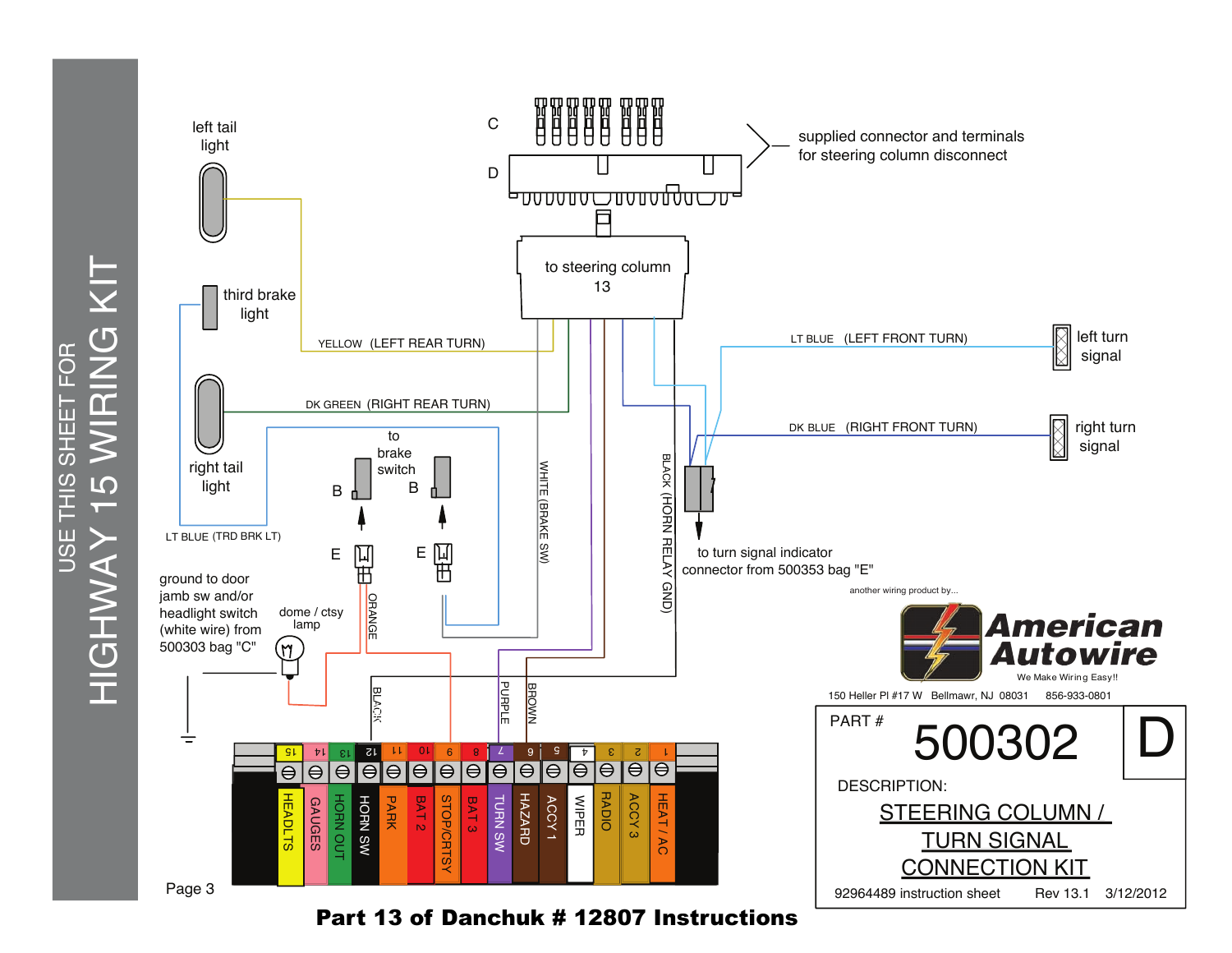

Part 13 of Danchuk # 12807 Instructions